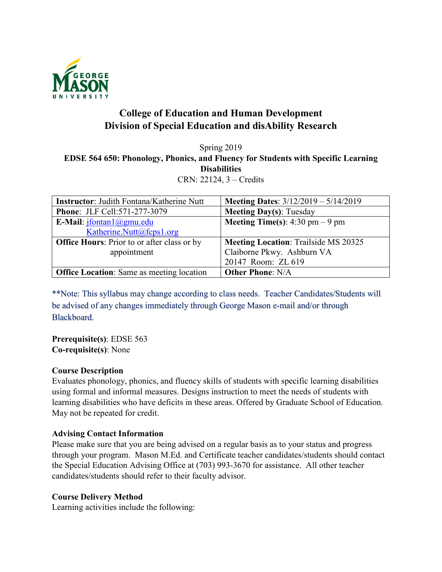

# **College of Education and Human Development Division of Special Education and disAbility Research**

# Spring 2019 **EDSE 564 650: Phonology, Phonics, and Fluency for Students with Specific Learning Disabilities** CRN: 22124, 3 – Credits

| <b>Instructor:</b> Judith Fontana/Katherine Nutt   | <b>Meeting Dates:</b> $3/12/2019 - 5/14/2019$ |
|----------------------------------------------------|-----------------------------------------------|
| Phone: JLF Cell:571-277-3079                       | <b>Meeting Day(s): Tuesday</b>                |
| E-Mail: $ifontan1$ @gmu.edu                        | <b>Meeting Time(s):</b> 4:30 pm $-9$ pm       |
| Katherine.Nutt@fcps1.org                           |                                               |
| <b>Office Hours:</b> Prior to or after class or by | <b>Meeting Location: Trailside MS 20325</b>   |
| appointment                                        | Claiborne Pkwy. Ashburn VA                    |
|                                                    | 20147 Room: ZL 619                            |
| <b>Office Location:</b> Same as meeting location   | <b>Other Phone: N/A</b>                       |

\*\*Note: This syllabus may change according to class needs. Teacher Candidates/Students will be advised of any changes immediately through George Mason e-mail and/or through Blackboard.

**Prerequisite(s)**: EDSE 563 **Co-requisite(s)**: None

## **Course Description**

Evaluates phonology, phonics, and fluency skills of students with specific learning disabilities using formal and informal measures. Designs instruction to meet the needs of students with learning disabilities who have deficits in these areas. Offered by Graduate School of Education. May not be repeated for credit.

## **Advising Contact Information**

Please make sure that you are being advised on a regular basis as to your status and progress through your program. Mason M.Ed. and Certificate teacher candidates/students should contact the Special Education Advising Office at (703) 993-3670 for assistance. All other teacher candidates/students should refer to their faculty advisor.

## **Course Delivery Method**

Learning activities include the following: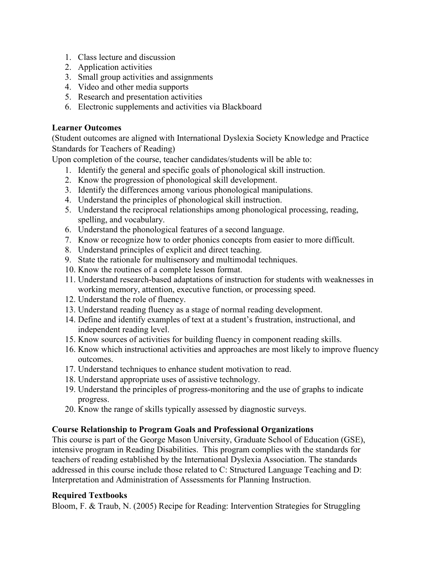- 1. Class lecture and discussion
- 2. Application activities
- 3. Small group activities and assignments
- 4. Video and other media supports
- 5. Research and presentation activities
- 6. Electronic supplements and activities via Blackboard

# **Learner Outcomes**

(Student outcomes are aligned with International Dyslexia Society Knowledge and Practice Standards for Teachers of Reading)

Upon completion of the course, teacher candidates/students will be able to:

- 1. Identify the general and specific goals of phonological skill instruction.
- 2. Know the progression of phonological skill development.
- 3. Identify the differences among various phonological manipulations.
- 4. Understand the principles of phonological skill instruction.
- 5. Understand the reciprocal relationships among phonological processing, reading, spelling, and vocabulary.
- 6. Understand the phonological features of a second language.
- 7. Know or recognize how to order phonics concepts from easier to more difficult.
- 8. Understand principles of explicit and direct teaching.
- 9. State the rationale for multisensory and multimodal techniques.
- 10. Know the routines of a complete lesson format.
- 11. Understand research-based adaptations of instruction for students with weaknesses in working memory, attention, executive function, or processing speed.
- 12. Understand the role of fluency.
- 13. Understand reading fluency as a stage of normal reading development.
- 14. Define and identify examples of text at a student's frustration, instructional, and independent reading level.
- 15. Know sources of activities for building fluency in component reading skills.
- 16. Know which instructional activities and approaches are most likely to improve fluency outcomes.
- 17. Understand techniques to enhance student motivation to read.
- 18. Understand appropriate uses of assistive technology.
- 19. Understand the principles of progress-monitoring and the use of graphs to indicate progress.
- 20. Know the range of skills typically assessed by diagnostic surveys.

# **Course Relationship to Program Goals and Professional Organizations**

This course is part of the George Mason University, Graduate School of Education (GSE), intensive program in Reading Disabilities. This program complies with the standards for teachers of reading established by the International Dyslexia Association. The standards addressed in this course include those related to C: Structured Language Teaching and D: Interpretation and Administration of Assessments for Planning Instruction.

# **Required Textbooks**

Bloom, F. & Traub, N. (2005) Recipe for Reading: Intervention Strategies for Struggling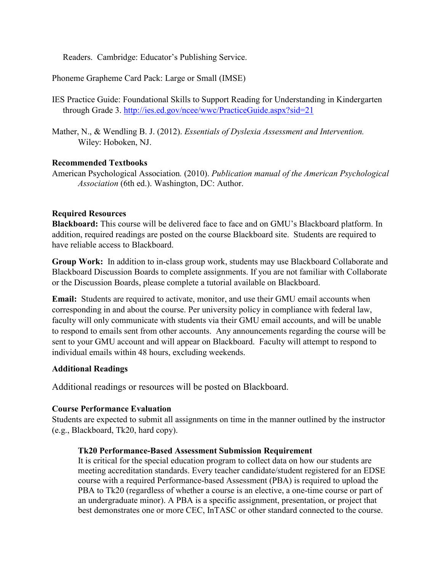Readers. Cambridge: Educator's Publishing Service.

Phoneme Grapheme Card Pack: Large or Small (IMSE)

- IES Practice Guide: Foundational Skills to Support Reading for Understanding in Kindergarten through Grade 3.<http://ies.ed.gov/ncee/wwc/PracticeGuide.aspx?sid=21>
- Mather, N., & Wendling B. J. (2012). *Essentials of Dyslexia Assessment and Intervention.* Wiley: Hoboken, NJ.

#### **Recommended Textbooks**

American Psychological Association*.* (2010). *Publication manual of the American Psychological Association* (6th ed.). Washington, DC: Author.

#### **Required Resources**

**Blackboard:** This course will be delivered face to face and on GMU's Blackboard platform. In addition, required readings are posted on the course Blackboard site. Students are required to have reliable access to Blackboard.

**Group Work:** In addition to in-class group work, students may use Blackboard Collaborate and Blackboard Discussion Boards to complete assignments. If you are not familiar with Collaborate or the Discussion Boards, please complete a tutorial available on Blackboard.

**Email:** Students are required to activate, monitor, and use their GMU email accounts when corresponding in and about the course. Per university policy in compliance with federal law, faculty will only communicate with students via their GMU email accounts, and will be unable to respond to emails sent from other accounts. Any announcements regarding the course will be sent to your GMU account and will appear on Blackboard. Faculty will attempt to respond to individual emails within 48 hours, excluding weekends.

#### **Additional Readings**

Additional readings or resources will be posted on Blackboard.

#### **Course Performance Evaluation**

Students are expected to submit all assignments on time in the manner outlined by the instructor (e.g., Blackboard, Tk20, hard copy).

## **Tk20 Performance-Based Assessment Submission Requirement**

It is critical for the special education program to collect data on how our students are meeting accreditation standards. Every teacher candidate/student registered for an EDSE course with a required Performance-based Assessment (PBA) is required to upload the PBA to Tk20 (regardless of whether a course is an elective, a one-time course or part of an undergraduate minor). A PBA is a specific assignment, presentation, or project that best demonstrates one or more CEC, InTASC or other standard connected to the course.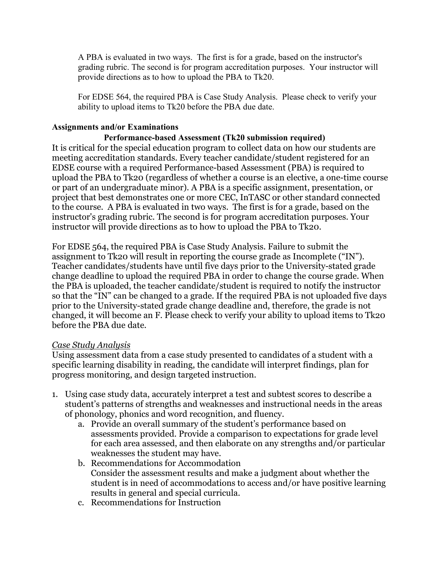A PBA is evaluated in two ways. The first is for a grade, based on the instructor's grading rubric. The second is for program accreditation purposes. Your instructor will provide directions as to how to upload the PBA to Tk20.

For EDSE 564, the required PBA is Case Study Analysis. Please check to verify your ability to upload items to Tk20 before the PBA due date.

# **Assignments and/or Examinations**

## **Performance-based Assessment (Tk20 submission required)**

It is critical for the special education program to collect data on how our students are meeting accreditation standards. Every teacher candidate/student registered for an EDSE course with a required Performance-based Assessment (PBA) is required to upload the PBA to Tk20 (regardless of whether a course is an elective, a one-time course or part of an undergraduate minor). A PBA is a specific assignment, presentation, or project that best demonstrates one or more CEC, InTASC or other standard connected to the course. A PBA is evaluated in two ways. The first is for a grade, based on the instructor's grading rubric. The second is for program accreditation purposes. Your instructor will provide directions as to how to upload the PBA to Tk20.

For EDSE 564, the required PBA is Case Study Analysis. Failure to submit the assignment to Tk20 will result in reporting the course grade as Incomplete ("IN"). Teacher candidates/students have until five days prior to the University-stated grade change deadline to upload the required PBA in order to change the course grade. When the PBA is uploaded, the teacher candidate/student is required to notify the instructor so that the "IN" can be changed to a grade. If the required PBA is not uploaded five days prior to the University-stated grade change deadline and, therefore, the grade is not changed, it will become an F. Please check to verify your ability to upload items to Tk20 before the PBA due date.

## *Case Study Analysis*

Using assessment data from a case study presented to candidates of a student with a specific learning disability in reading, the candidate will interpret findings, plan for progress monitoring, and design targeted instruction.

- 1. Using case study data, accurately interpret a test and subtest scores to describe a student's patterns of strengths and weaknesses and instructional needs in the areas of phonology, phonics and word recognition, and fluency.
	- a. Provide an overall summary of the student's performance based on assessments provided. Provide a comparison to expectations for grade level for each area assessed, and then elaborate on any strengths and/or particular weaknesses the student may have.
	- b. Recommendations for Accommodation Consider the assessment results and make a judgment about whether the student is in need of accommodations to access and/or have positive learning results in general and special curricula.
	- c. Recommendations for Instruction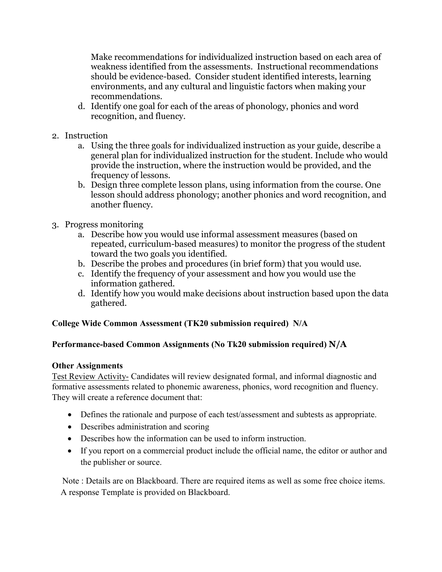Make recommendations for individualized instruction based on each area of weakness identified from the assessments. Instructional recommendations should be evidence-based. Consider student identified interests, learning environments, and any cultural and linguistic factors when making your recommendations.

- d. Identify one goal for each of the areas of phonology, phonics and word recognition, and fluency.
- 2. Instruction
	- a. Using the three goals for individualized instruction as your guide, describe a general plan for individualized instruction for the student. Include who would provide the instruction, where the instruction would be provided, and the frequency of lessons.
	- b. Design three complete lesson plans, using information from the course. One lesson should address phonology; another phonics and word recognition, and another fluency.
- 3. Progress monitoring
	- a. Describe how you would use informal assessment measures (based on repeated, curriculum-based measures) to monitor the progress of the student toward the two goals you identified.
	- b. Describe the probes and procedures (in brief form) that you would use.
	- c. Identify the frequency of your assessment and how you would use the information gathered.
	- d. Identify how you would make decisions about instruction based upon the data gathered.

# **College Wide Common Assessment (TK20 submission required) N/A**

## **Performance-based Common Assignments (No Tk20 submission required) N/A**

## **Other Assignments**

Test Review Activity- Candidates will review designated formal, and informal diagnostic and formative assessments related to phonemic awareness, phonics, word recognition and fluency. They will create a reference document that:

- Defines the rationale and purpose of each test/assessment and subtests as appropriate.
- Describes administration and scoring
- Describes how the information can be used to inform instruction.
- If you report on a commercial product include the official name, the editor or author and the publisher or source.

 Note : Details are on Blackboard. There are required items as well as some free choice items. A response Template is provided on Blackboard.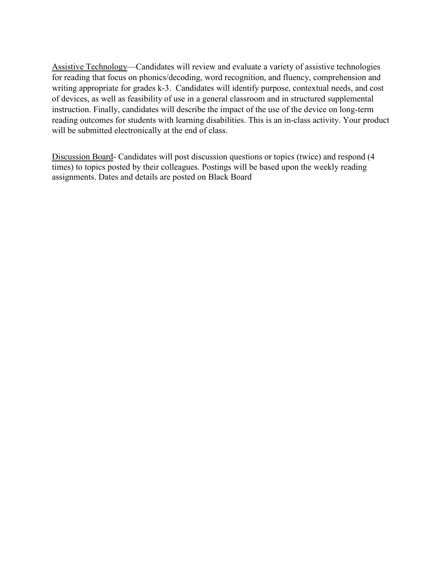Assistive Technology—Candidates will review and evaluate a variety of assistive technologies for reading that focus on phonics/decoding, word recognition, and fluency, comprehension and writing appropriate for grades k-3. Candidates will identify purpose, contextual needs, and cost of devices, as well as feasibility of use in a general classroom and in structured supplemental instruction. Finally, candidates will describe the impact of the use of the device on long-term reading outcomes for students with learning disabilities. This is an in-class activity. Your product will be submitted electronically at the end of class.

Discussion Board- Candidates will post discussion questions or topics (twice) and respond (4 times) to topics posted by their colleagues. Postings will be based upon the weekly reading assignments. Dates and details are posted on Black Board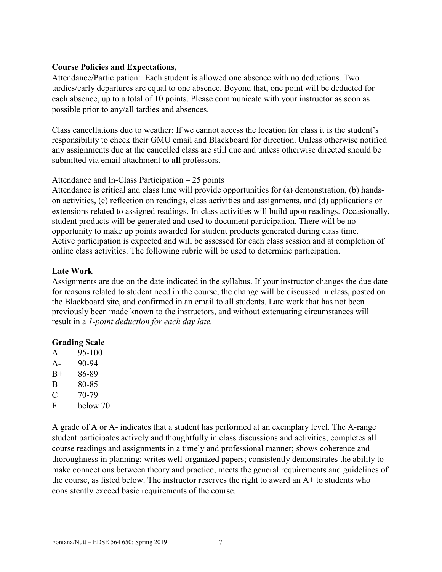#### **Course Policies and Expectations,**

Attendance/Participation: Each student is allowed one absence with no deductions. Two tardies/early departures are equal to one absence. Beyond that, one point will be deducted for each absence, up to a total of 10 points. Please communicate with your instructor as soon as possible prior to any/all tardies and absences.

Class cancellations due to weather: If we cannot access the location for class it is the student's responsibility to check their GMU email and Blackboard for direction. Unless otherwise notified any assignments due at the cancelled class are still due and unless otherwise directed should be submitted via email attachment to **all** professors.

#### Attendance and In-Class Participation – 25 points

Attendance is critical and class time will provide opportunities for (a) demonstration, (b) handson activities, (c) reflection on readings, class activities and assignments, and (d) applications or extensions related to assigned readings. In-class activities will build upon readings. Occasionally, student products will be generated and used to document participation. There will be no opportunity to make up points awarded for student products generated during class time. Active participation is expected and will be assessed for each class session and at completion of online class activities. The following rubric will be used to determine participation.

## **Late Work**

Assignments are due on the date indicated in the syllabus. If your instructor changes the due date for reasons related to student need in the course, the change will be discussed in class, posted on the Blackboard site, and confirmed in an email to all students. Late work that has not been previously been made known to the instructors, and without extenuating circumstances will result in a *1-point deduction for each day late.*

## **Grading Scale**

- A 95-100
- A- 90-94
- B+ 86-89
- B 80-85
- $C = 70-79$
- F below 70

A grade of A or A- indicates that a student has performed at an exemplary level. The A-range student participates actively and thoughtfully in class discussions and activities; completes all course readings and assignments in a timely and professional manner; shows coherence and thoroughness in planning; writes well-organized papers; consistently demonstrates the ability to make connections between theory and practice; meets the general requirements and guidelines of the course, as listed below. The instructor reserves the right to award an A+ to students who consistently exceed basic requirements of the course.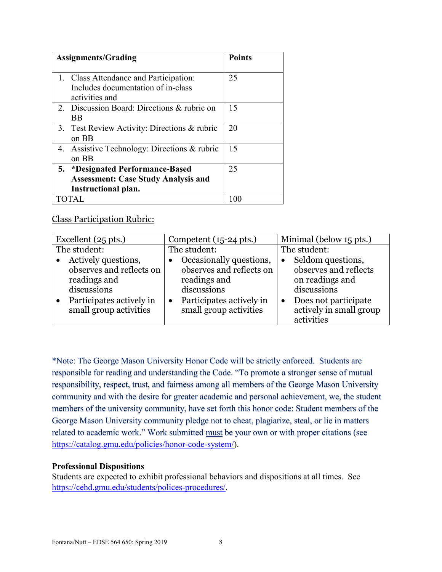| <b>Assignments/Grading</b>                                                                            | <b>Points</b> |
|-------------------------------------------------------------------------------------------------------|---------------|
| 1. Class Attendance and Participation:<br>Includes documentation of in-class<br>activities and        | 25            |
| 2. Discussion Board: Directions & rubric on<br>BB                                                     | 15            |
| 3. Test Review Activity: Directions & rubric<br>on BB                                                 | 20            |
| 4. Assistive Technology: Directions & rubric<br>on BB                                                 | 15            |
| 5. *Designated Performance-Based<br><b>Assessment: Case Study Analysis and</b><br>Instructional plan. | 25            |
| TOTAL                                                                                                 | 100           |

# Class Participation Rubric:

| Excellent $(25 \text{ pts.})$ | Competent $(15-24 \text{ pts.})$ | Minimal (below 15 pts.) |
|-------------------------------|----------------------------------|-------------------------|
| The student:                  | The student:                     | The student:            |
| Actively questions,           | Occasionally questions,          | Seldom questions,       |
| observes and reflects on      | observes and reflects on         | observes and reflects   |
| readings and                  | readings and                     | on readings and         |
| discussions                   | discussions                      | discussions             |
| Participates actively in      | Participates actively in         | Does not participate    |
| small group activities        | small group activities           | actively in small group |
|                               |                                  | activities              |

\*Note: The George Mason University Honor Code will be strictly enforced. Students are responsible for reading and understanding the Code. "To promote a stronger sense of mutual responsibility, respect, trust, and fairness among all members of the George Mason University community and with the desire for greater academic and personal achievement, we, the student members of the university community, have set forth this honor code: Student members of the George Mason University community pledge not to cheat, plagiarize, steal, or lie in matters related to academic work." Work submitted must be your own or with proper citations (see [https://catalog.gmu.edu/policies/honor-code-system/\)](https://catalog.gmu.edu/policies/honor-code-system/).

#### **Professional Dispositions**

Students are expected to exhibit professional behaviors and dispositions at all times. See [https://cehd.gmu.edu/students/polices-procedures/.](https://cehd.gmu.edu/students/polices-procedures/)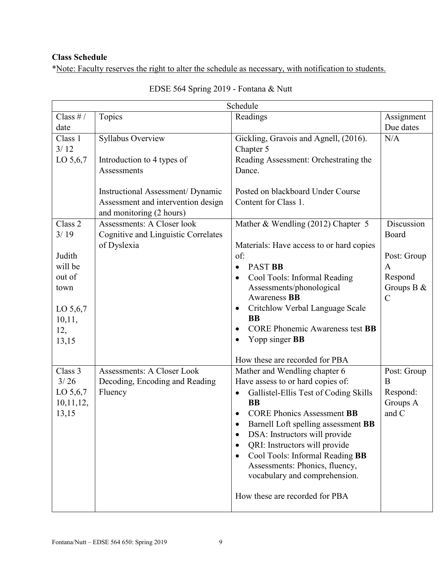# **Class Schedule**

\*Note: Faculty reserves the right to alter the schedule as necessary, with notification to students.

| Schedule                                                                                     |                                                                                                    |                                                                                                                                                                                                                                                                                                                                                                                                                                                       |                                                                                              |
|----------------------------------------------------------------------------------------------|----------------------------------------------------------------------------------------------------|-------------------------------------------------------------------------------------------------------------------------------------------------------------------------------------------------------------------------------------------------------------------------------------------------------------------------------------------------------------------------------------------------------------------------------------------------------|----------------------------------------------------------------------------------------------|
| Class $# /$<br>date                                                                          | Topics                                                                                             | Readings                                                                                                                                                                                                                                                                                                                                                                                                                                              | Assignment<br>Due dates                                                                      |
| Class 1<br>3/12<br>LO 5,6,7                                                                  | Syllabus Overview<br>Introduction to 4 types of<br>Assessments                                     | Gickling, Gravois and Agnell, (2016).<br>Chapter 5<br>Reading Assessment: Orchestrating the<br>Dance.                                                                                                                                                                                                                                                                                                                                                 | N/A                                                                                          |
|                                                                                              | Instructional Assessment/Dynamic<br>Assessment and intervention design<br>and monitoring (2 hours) | Posted on blackboard Under Course<br>Content for Class 1.                                                                                                                                                                                                                                                                                                                                                                                             |                                                                                              |
| Class 2<br>3/19<br>Judith<br>will be<br>out of<br>town<br>LO 5,6,7<br>10,11,<br>12,<br>13,15 | Assessments: A Closer look<br><b>Cognitive and Linguistic Correlates</b><br>of Dyslexia            | Mather & Wendling (2012) Chapter 5<br>Materials: Have access to or hard copies<br>of:<br><b>PAST BB</b><br>$\bullet$<br>Cool Tools: Informal Reading<br>Assessments/phonological<br>Awareness <b>BB</b><br>Critchlow Verbal Language Scale<br>$\bullet$<br><b>BB</b><br><b>CORE Phonemic Awareness test BB</b><br>Yopp singer <b>BB</b><br>$\bullet$<br>How these are recorded for PBA                                                                | Discussion<br>Board<br>Post: Group<br>$\mathbf{A}$<br>Respond<br>Groups B &<br>$\mathcal{C}$ |
| Class 3<br>3/26<br>LO $5,6,7$<br>10, 11, 12,<br>13,15                                        | <b>Assessments: A Closer Look</b><br>Decoding, Encoding and Reading<br>Fluency                     | Mather and Wendling chapter 6<br>Have assess to or hard copies of:<br>Gallistel-Ellis Test of Coding Skills<br>$\bullet$<br><b>BB</b><br><b>CORE Phonics Assessment BB</b><br>Barnell Loft spelling assessment BB<br>DSA: Instructors will provide<br>QRI: Instructors will provide<br>$\bullet$<br>Cool Tools: Informal Reading BB<br>$\bullet$<br>Assessments: Phonics, fluency,<br>vocabulary and comprehension.<br>How these are recorded for PBA | Post: Group<br>B<br>Respond:<br>Groups A<br>and C                                            |

| EDSE 564 Spring 2019 - Fontana & Nutt |  |  |  |
|---------------------------------------|--|--|--|
|---------------------------------------|--|--|--|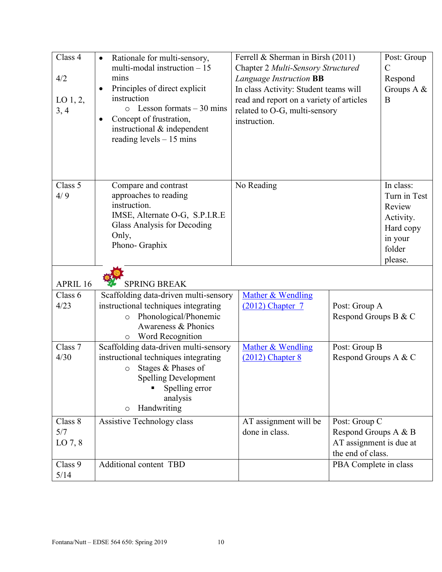| Class 4<br>4/2<br>LO $1, 2$ ,<br>3, 4 | Rationale for multi-sensory,<br>$\bullet$<br>multi-modal instruction $-15$<br>mins<br>Principles of direct explicit<br>$\bullet$<br>instruction<br>$\circ$ Lesson formats – 30 mins<br>Concept of frustration,<br>instructional & independent<br>reading levels $-15$ mins | Ferrell & Sherman in Birsh (2011)<br>Chapter 2 Multi-Sensory Structured<br>Language Instruction BB<br>In class Activity: Student teams will<br>read and report on a variety of articles<br>related to O-G, multi-sensory<br>instruction. |                                                                                       | Post: Group<br>$\mathcal{C}$<br>Respond<br>Groups A &<br>B                                    |
|---------------------------------------|----------------------------------------------------------------------------------------------------------------------------------------------------------------------------------------------------------------------------------------------------------------------------|------------------------------------------------------------------------------------------------------------------------------------------------------------------------------------------------------------------------------------------|---------------------------------------------------------------------------------------|-----------------------------------------------------------------------------------------------|
| Class 5<br>4/9                        | Compare and contrast<br>approaches to reading<br>instruction.<br>IMSE, Alternate O-G, S.P.I.R.E<br>Glass Analysis for Decoding<br>Only,<br>Phono-Graphix                                                                                                                   | No Reading                                                                                                                                                                                                                               |                                                                                       | In class:<br>Turn in Test<br>Review<br>Activity.<br>Hard copy<br>in your<br>folder<br>please. |
| APRIL 16                              | <b>SPRING BREAK</b>                                                                                                                                                                                                                                                        |                                                                                                                                                                                                                                          |                                                                                       |                                                                                               |
| Class 6<br>4/23                       | Scaffolding data-driven multi-sensory<br>instructional techniques integrating<br>Phonological/Phonemic<br>$\circ$<br>Awareness & Phonics<br>Word Recognition<br>$\circ$                                                                                                    | Mather & Wendling<br>$(2012)$ Chapter 7                                                                                                                                                                                                  | Post: Group A<br>Respond Groups B & C                                                 |                                                                                               |
| Class 7<br>4/30                       | Scaffolding data-driven multi-sensory<br>instructional techniques integrating<br>Stages & Phases of<br>$\circ$<br><b>Spelling Development</b><br>Spelling error<br>analysis<br>Handwriting<br>$\circ$                                                                      | Mather & Wendling<br>$(2012)$ Chapter 8                                                                                                                                                                                                  | Post: Group B<br>Respond Groups A & C                                                 |                                                                                               |
| Class 8<br>5/7<br>LO $7, 8$           | Assistive Technology class                                                                                                                                                                                                                                                 | AT assignment will be<br>done in class.                                                                                                                                                                                                  | Post: Group C<br>Respond Groups A & B<br>AT assignment is due at<br>the end of class. |                                                                                               |
| Class 9<br>5/14                       | Additional content TBD                                                                                                                                                                                                                                                     |                                                                                                                                                                                                                                          | PBA Complete in class                                                                 |                                                                                               |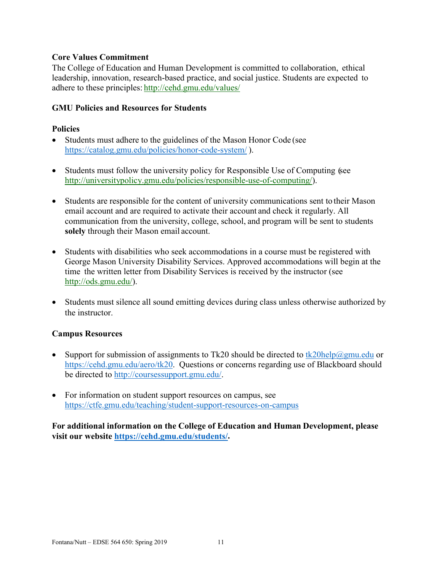#### **Core Values Commitment**

The College of Education and Human Development is committed to collaboration, ethical leadership, innovation, research-based practice, and social justice. Students are expected to adhere to these principles: <http://cehd.gmu.edu/values/>

#### **GMU Policies and Resources for Students**

#### **Policies**

- Students must adhere to the guidelines of the Mason Honor Code (see <https://catalog.gmu.edu/policies/honor-code-system/> ).
- Students must follow the university policy for Responsible Use of Computing (see [http://universitypolicy.gmu.edu/policies/responsible-use-of-computing/\)](http://universitypolicy.gmu.edu/policies/responsible-use-of-computing/).
- Students are responsible for the content of university communications sent to their Mason email account and are required to activate their account and check it regularly. All communication from the university, college, school, and program will be sent to students **solely** through their Mason email account.
- Students with disabilities who seek accommodations in a course must be registered with George Mason University Disability Services. Approved accommodations will begin at the time the written letter from Disability Services is received by the instructor (see [http://ods.gmu.edu/\)](http://ods.gmu.edu/).
- Students must silence all sound emitting devices during class unless otherwise authorized by the instructor.

#### **Campus Resources**

- Support for submission of assignments to Tk20 should be directed to [tk20help@gmu.edu](mailto:tk20help@gmu.edu) or [https://cehd.gmu.edu/aero/tk20.](https://cehd.gmu.edu/aero/tk20) Questions or concerns regarding use of Blackboard should be directed to [http://coursessupport.gmu.edu/.](http://coursessupport.gmu.edu/)
- For information on student support resources on campus, see <https://ctfe.gmu.edu/teaching/student-support-resources-on-campus>

**For additional information on the College of Education and Human Development, please visit our website [https://cehd.gmu.edu/students/.](https://cehd.gmu.edu/students/)**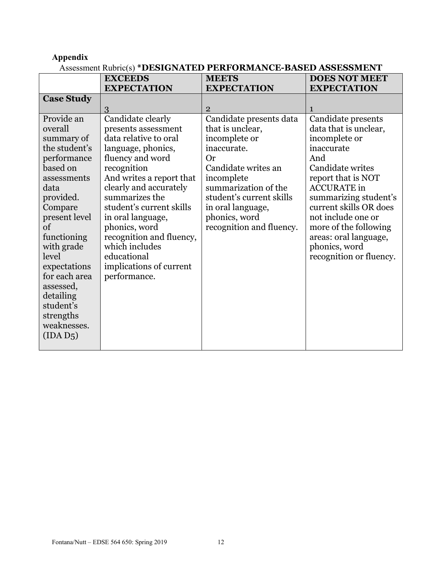# **Appendix**

# Assessment Rubric(s) **\*DESIGNATED PERFORMANCE-BASED ASSESSMENT**

|                                                                                                                                                                                                                                                                                                            | <b>EXCEEDS</b>                                                                                                                                                                                                                                                                                                                                                               | <b>MEETS</b>                                                                                                                                                                                                                                 | <b>DOES NOT MEET</b>                                                                                                                                                                                                                                                                                                     |
|------------------------------------------------------------------------------------------------------------------------------------------------------------------------------------------------------------------------------------------------------------------------------------------------------------|------------------------------------------------------------------------------------------------------------------------------------------------------------------------------------------------------------------------------------------------------------------------------------------------------------------------------------------------------------------------------|----------------------------------------------------------------------------------------------------------------------------------------------------------------------------------------------------------------------------------------------|--------------------------------------------------------------------------------------------------------------------------------------------------------------------------------------------------------------------------------------------------------------------------------------------------------------------------|
|                                                                                                                                                                                                                                                                                                            | <b>EXPECTATION</b>                                                                                                                                                                                                                                                                                                                                                           | <b>EXPECTATION</b>                                                                                                                                                                                                                           | <b>EXPECTATION</b>                                                                                                                                                                                                                                                                                                       |
| <b>Case Study</b>                                                                                                                                                                                                                                                                                          |                                                                                                                                                                                                                                                                                                                                                                              |                                                                                                                                                                                                                                              |                                                                                                                                                                                                                                                                                                                          |
|                                                                                                                                                                                                                                                                                                            | 3                                                                                                                                                                                                                                                                                                                                                                            | $\overline{2}$                                                                                                                                                                                                                               |                                                                                                                                                                                                                                                                                                                          |
| Provide an<br>overall<br>summary of<br>the student's<br>performance<br>based on<br>assessments<br>data<br>provided.<br>Compare<br>present level<br>of<br>functioning<br>with grade<br>level<br>expectations<br>for each area<br>assessed,<br>detailing<br>student's<br>strengths<br>weaknesses.<br>(IDAD5) | Candidate clearly<br>presents assessment<br>data relative to oral<br>language, phonics,<br>fluency and word<br>recognition<br>And writes a report that<br>clearly and accurately<br>summarizes the<br>student's current skills<br>in oral language,<br>phonics, word<br>recognition and fluency,<br>which includes<br>educational<br>implications of current<br>performance. | Candidate presents data<br>that is unclear,<br>incomplete or<br>inaccurate.<br>Or<br>Candidate writes an<br>incomplete<br>summarization of the<br>student's current skills<br>in oral language,<br>phonics, word<br>recognition and fluency. | Candidate presents<br>data that is unclear,<br>incomplete or<br>inaccurate<br>And<br>Candidate writes<br>report that is NOT<br><b>ACCURATE</b> in<br>summarizing student's<br>current skills OR does<br>not include one or<br>more of the following<br>areas: oral language,<br>phonics, word<br>recognition or fluency. |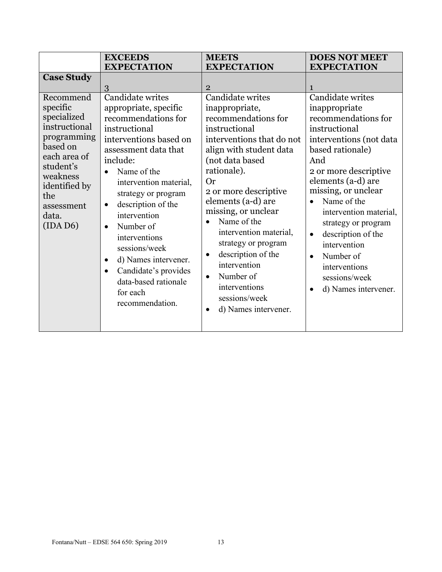|                                                                                                                                                                                         | <b>EXCEEDS</b>                                                                                                                                                                                                                                                                                                                                                                                                                                                  | <b>MEETS</b>                                                                                                                                                                                                                                                                                                                                                                                                                                                   | <b>DOES NOT MEET</b>                                                                                                                                                                                                                                                                                                                                                                                                      |
|-----------------------------------------------------------------------------------------------------------------------------------------------------------------------------------------|-----------------------------------------------------------------------------------------------------------------------------------------------------------------------------------------------------------------------------------------------------------------------------------------------------------------------------------------------------------------------------------------------------------------------------------------------------------------|----------------------------------------------------------------------------------------------------------------------------------------------------------------------------------------------------------------------------------------------------------------------------------------------------------------------------------------------------------------------------------------------------------------------------------------------------------------|---------------------------------------------------------------------------------------------------------------------------------------------------------------------------------------------------------------------------------------------------------------------------------------------------------------------------------------------------------------------------------------------------------------------------|
|                                                                                                                                                                                         | <b>EXPECTATION</b>                                                                                                                                                                                                                                                                                                                                                                                                                                              | <b>EXPECTATION</b>                                                                                                                                                                                                                                                                                                                                                                                                                                             | <b>EXPECTATION</b>                                                                                                                                                                                                                                                                                                                                                                                                        |
| <b>Case Study</b>                                                                                                                                                                       | 3                                                                                                                                                                                                                                                                                                                                                                                                                                                               | $\overline{2}$                                                                                                                                                                                                                                                                                                                                                                                                                                                 | $\mathbf{1}$                                                                                                                                                                                                                                                                                                                                                                                                              |
| Recommend<br>specific<br>specialized<br>instructional<br>programming<br>based on<br>each area of<br>student's<br>weakness<br>identified by<br>the<br>assessment<br>data.<br>$(IDA\,D6)$ | Candidate writes<br>appropriate, specific<br>recommendations for<br>instructional<br>interventions based on<br>assessment data that<br>include:<br>Name of the<br>intervention material,<br>strategy or program<br>description of the<br>$\bullet$<br>intervention<br>Number of<br>$\bullet$<br>interventions<br>sessions/week<br>d) Names intervener.<br>$\bullet$<br>Candidate's provides<br>$\bullet$<br>data-based rationale<br>for each<br>recommendation. | Candidate writes<br>inappropriate,<br>recommendations for<br>instructional<br>interventions that do not<br>align with student data<br>(not data based<br>rationale).<br><b>Or</b><br>2 or more descriptive<br>elements (a-d) are<br>missing, or unclear<br>Name of the<br>intervention material,<br>strategy or program<br>description of the<br>$\bullet$<br>intervention<br>Number of<br>$\bullet$<br>interventions<br>sessions/week<br>d) Names intervener. | Candidate writes<br>inappropriate<br>recommendations for<br>instructional<br>interventions (not data<br>based rationale)<br>And<br>2 or more descriptive<br>elements (a-d) are<br>missing, or unclear<br>Name of the<br>intervention material,<br>strategy or program<br>description of the<br>$\bullet$<br>intervention<br>Number of<br>$\bullet$<br>interventions<br>sessions/week<br>d) Names intervener.<br>$\bullet$ |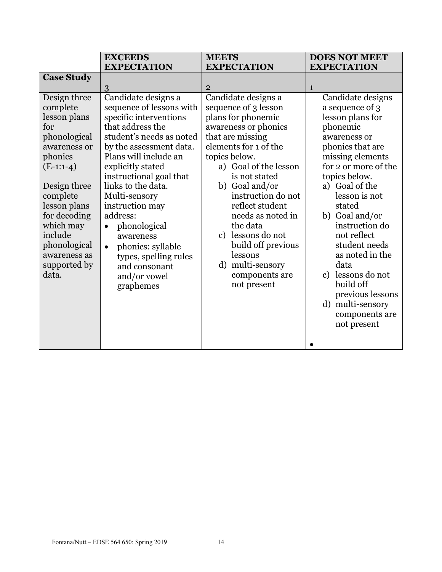|                          | <b>EXCEEDS</b><br><b>EXPECTATION</b>            | <b>MEETS</b><br><b>EXPECTATION</b>          | <b>DOES NOT MEET</b><br><b>EXPECTATION</b> |
|--------------------------|-------------------------------------------------|---------------------------------------------|--------------------------------------------|
| <b>Case Study</b>        |                                                 |                                             |                                            |
|                          | 3                                               | $\overline{2}$                              | $\mathbf{1}$                               |
| Design three<br>complete | Candidate designs a<br>sequence of lessons with | Candidate designs a<br>sequence of 3 lesson | Candidate designs<br>a sequence of 3       |
| lesson plans             | specific interventions                          | plans for phonemic                          | lesson plans for                           |
| for                      | that address the                                | awareness or phonics                        | phonemic                                   |
| phonological             | student's needs as noted                        | that are missing                            | awareness or                               |
| awareness or             | by the assessment data.                         | elements for 1 of the                       | phonics that are                           |
| phonics                  | Plans will include an                           | topics below.                               | missing elements                           |
| $(E-1:1-4)$              | explicitly stated                               | a) Goal of the lesson                       | for 2 or more of the                       |
|                          | instructional goal that                         | is not stated                               | topics below.                              |
| Design three             | links to the data.                              | b) Goal and/or                              | a) Goal of the                             |
| complete                 | Multi-sensory                                   | instruction do not                          | lesson is not                              |
| lesson plans             | instruction may                                 | reflect student                             | stated                                     |
| for decoding             | address:                                        | needs as noted in                           | b) Goal and/or                             |
| which may<br>include     | phonological<br>$\bullet$                       | the data<br>c) lessons do not               | instruction do<br>not reflect              |
| phonological             | awareness                                       | build off previous                          | student needs                              |
| awareness as             | phonics: syllable<br>$\bullet$                  | lessons                                     | as noted in the                            |
| supported by             | types, spelling rules<br>and consonant          | multi-sensory<br>$\rm d)$                   | data                                       |
| data.                    | and/or vowel                                    | components are                              | c) lessons do not                          |
|                          | graphemes                                       | not present                                 | build off                                  |
|                          |                                                 |                                             | previous lessons                           |
|                          |                                                 |                                             | multi-sensory<br>d)                        |
|                          |                                                 |                                             | components are                             |
|                          |                                                 |                                             | not present                                |
|                          |                                                 |                                             |                                            |
|                          |                                                 |                                             |                                            |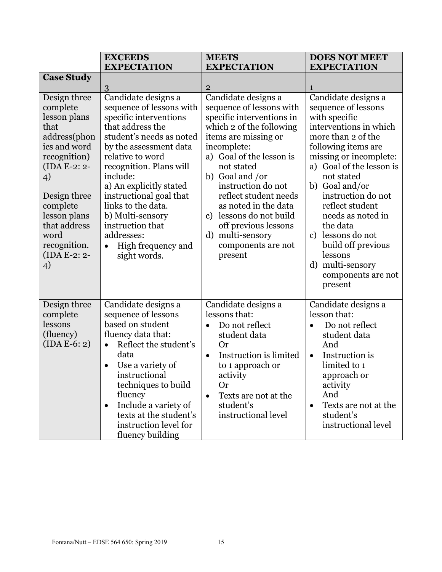|                                                                                                                                                                                                                                  | <b>EXCEEDS</b><br><b>EXPECTATION</b>                                                                                                                                                                                                                                                                                                                                                   | <b>MEETS</b><br><b>EXPECTATION</b>                                                                                                                                                                                                                                                                                                                                                                         | <b>DOES NOT MEET</b><br><b>EXPECTATION</b>                                                                                                                                                                                                                                                                                                                                                                                    |
|----------------------------------------------------------------------------------------------------------------------------------------------------------------------------------------------------------------------------------|----------------------------------------------------------------------------------------------------------------------------------------------------------------------------------------------------------------------------------------------------------------------------------------------------------------------------------------------------------------------------------------|------------------------------------------------------------------------------------------------------------------------------------------------------------------------------------------------------------------------------------------------------------------------------------------------------------------------------------------------------------------------------------------------------------|-------------------------------------------------------------------------------------------------------------------------------------------------------------------------------------------------------------------------------------------------------------------------------------------------------------------------------------------------------------------------------------------------------------------------------|
| <b>Case Study</b>                                                                                                                                                                                                                | 3                                                                                                                                                                                                                                                                                                                                                                                      | $\overline{2}$                                                                                                                                                                                                                                                                                                                                                                                             | 1                                                                                                                                                                                                                                                                                                                                                                                                                             |
| Design three<br>complete<br>lesson plans<br>that<br>address(phon<br>ics and word<br>recognition)<br>(IDA E-2: 2-<br>4)<br>Design three<br>complete<br>lesson plans<br>that address<br>word<br>recognition.<br>(IDA E-2: 2-<br>4) | Candidate designs a<br>sequence of lessons with<br>specific interventions<br>that address the<br>student's needs as noted<br>by the assessment data<br>relative to word<br>recognition. Plans will<br>include:<br>a) An explicitly stated<br>instructional goal that<br>links to the data.<br>b) Multi-sensory<br>instruction that<br>addresses:<br>High frequency and<br>sight words. | Candidate designs a<br>sequence of lessons with<br>specific interventions in<br>which 2 of the following<br>items are missing or<br>incomplete:<br>a) Goal of the lesson is<br>not stated<br>b) Goal and /or<br>instruction do not<br>reflect student needs<br>as noted in the data<br>lessons do not build<br>$\mathbf{c}$ )<br>off previous lessons<br>d) multi-sensory<br>components are not<br>present | Candidate designs a<br>sequence of lessons<br>with specific<br>interventions in which<br>more than 2 of the<br>following items are<br>missing or incomplete:<br>a) Goal of the lesson is<br>not stated<br>b) Goal and/or<br>instruction do not<br>reflect student<br>needs as noted in<br>the data<br>lessons do not<br>$\mathbf{c}$<br>build off previous<br>lessons<br>multi-sensory<br>d)<br>components are not<br>present |
| Design three<br>complete<br>lessons<br>(fluency)<br>$(IDA E-6: 2)$                                                                                                                                                               | Candidate designs a<br>sequence of lessons<br>based on student<br>fluency data that:<br>Reflect the student's<br>$\bullet$<br>data<br>Use a variety of<br>instructional<br>techniques to build<br>fluency<br>Include a variety of<br>$\bullet$<br>texts at the student's<br>instruction level for<br>fluency building                                                                  | Candidate designs a<br>lessons that:<br>Do not reflect<br>$\bullet$<br>student data<br><b>Or</b><br>Instruction is limited<br>$\bullet$<br>to 1 approach or<br>activity<br><b>Or</b><br>Texts are not at the<br>$\bullet$<br>student's<br>instructional level                                                                                                                                              | Candidate designs a<br>lesson that:<br>Do not reflect<br>$\bullet$<br>student data<br>And<br>Instruction is<br>$\bullet$<br>limited to 1<br>approach or<br>activity<br>And<br>Texts are not at the<br>$\bullet$<br>student's<br>instructional level                                                                                                                                                                           |